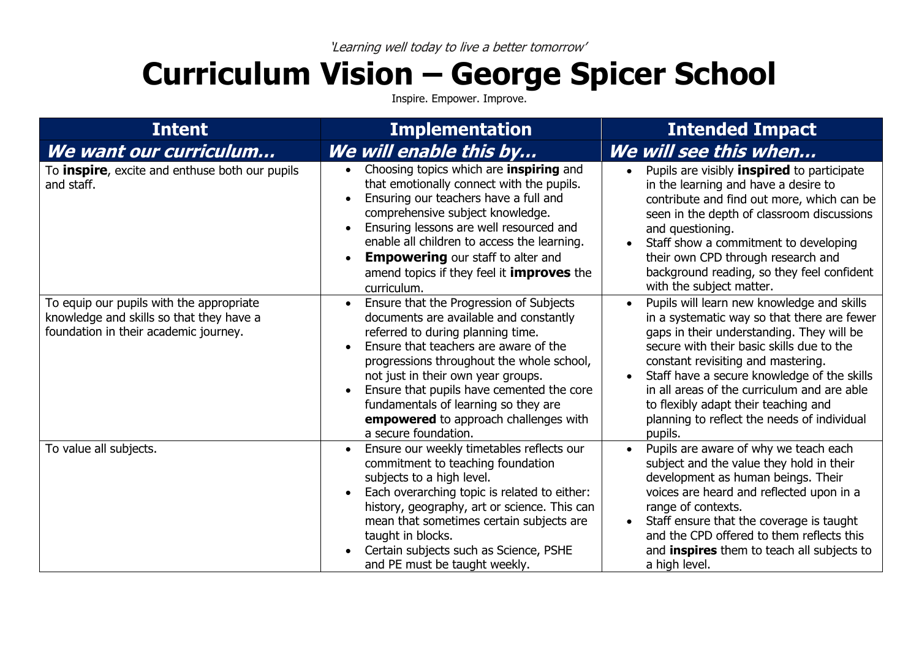## **Curriculum Vision – George Spicer School**

Inspire. Empower. Improve.

| <b>Intent</b>                                                                                                                 | <b>Implementation</b>                                                                                                                                                                                                                                                                                                                                                                                    | <b>Intended Impact</b>                                                                                                                                                                                                                                                                                                                                                                                                                              |
|-------------------------------------------------------------------------------------------------------------------------------|----------------------------------------------------------------------------------------------------------------------------------------------------------------------------------------------------------------------------------------------------------------------------------------------------------------------------------------------------------------------------------------------------------|-----------------------------------------------------------------------------------------------------------------------------------------------------------------------------------------------------------------------------------------------------------------------------------------------------------------------------------------------------------------------------------------------------------------------------------------------------|
| We want our curriculum                                                                                                        | We will enable this by                                                                                                                                                                                                                                                                                                                                                                                   | We will see this when                                                                                                                                                                                                                                                                                                                                                                                                                               |
| To <b>inspire</b> , excite and enthuse both our pupils<br>and staff.                                                          | Choosing topics which are <b>inspiring</b> and<br>that emotionally connect with the pupils.<br>Ensuring our teachers have a full and<br>comprehensive subject knowledge.<br>Ensuring lessons are well resourced and<br>enable all children to access the learning.<br><b>Empowering</b> our staff to alter and<br>amend topics if they feel it <b>improves</b> the<br>curriculum.                        | Pupils are visibly <b>inspired</b> to participate<br>$\bullet$<br>in the learning and have a desire to<br>contribute and find out more, which can be<br>seen in the depth of classroom discussions<br>and questioning.<br>Staff show a commitment to developing<br>their own CPD through research and<br>background reading, so they feel confident<br>with the subject matter.                                                                     |
| To equip our pupils with the appropriate<br>knowledge and skills so that they have a<br>foundation in their academic journey. | Ensure that the Progression of Subjects<br>documents are available and constantly<br>referred to during planning time.<br>Ensure that teachers are aware of the<br>progressions throughout the whole school,<br>not just in their own year groups.<br>Ensure that pupils have cemented the core<br>fundamentals of learning so they are<br>empowered to approach challenges with<br>a secure foundation. | Pupils will learn new knowledge and skills<br>$\bullet$<br>in a systematic way so that there are fewer<br>gaps in their understanding. They will be<br>secure with their basic skills due to the<br>constant revisiting and mastering.<br>Staff have a secure knowledge of the skills<br>$\bullet$<br>in all areas of the curriculum and are able<br>to flexibly adapt their teaching and<br>planning to reflect the needs of individual<br>pupils. |
| To value all subjects.                                                                                                        | Ensure our weekly timetables reflects our<br>commitment to teaching foundation<br>subjects to a high level.<br>Each overarching topic is related to either:<br>history, geography, art or science. This can<br>mean that sometimes certain subjects are<br>taught in blocks.<br>Certain subjects such as Science, PSHE<br>and PE must be taught weekly.                                                  | Pupils are aware of why we teach each<br>$\bullet$<br>subject and the value they hold in their<br>development as human beings. Their<br>voices are heard and reflected upon in a<br>range of contexts.<br>Staff ensure that the coverage is taught<br>$\bullet$<br>and the CPD offered to them reflects this<br>and inspires them to teach all subjects to<br>a high level.                                                                         |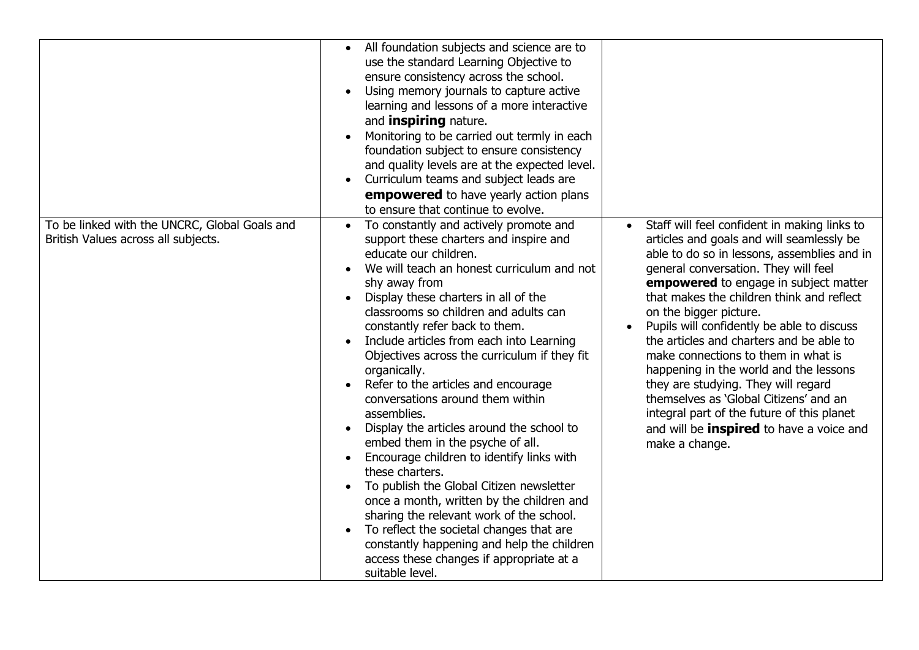|                                                                                      | All foundation subjects and science are to<br>$\bullet$<br>use the standard Learning Objective to<br>ensure consistency across the school.<br>Using memory journals to capture active<br>learning and lessons of a more interactive<br>and <i>inspiring</i> nature.<br>Monitoring to be carried out termly in each<br>foundation subject to ensure consistency<br>and quality levels are at the expected level.<br>Curriculum teams and subject leads are<br>empowered to have yearly action plans<br>to ensure that continue to evolve.                                                                                                                                                                                                                                                                                                                                                                                                         |                                                                                                                                                                                                                                                                                                                                                                                                                                                                                                                                                                                                                                                                                 |
|--------------------------------------------------------------------------------------|--------------------------------------------------------------------------------------------------------------------------------------------------------------------------------------------------------------------------------------------------------------------------------------------------------------------------------------------------------------------------------------------------------------------------------------------------------------------------------------------------------------------------------------------------------------------------------------------------------------------------------------------------------------------------------------------------------------------------------------------------------------------------------------------------------------------------------------------------------------------------------------------------------------------------------------------------|---------------------------------------------------------------------------------------------------------------------------------------------------------------------------------------------------------------------------------------------------------------------------------------------------------------------------------------------------------------------------------------------------------------------------------------------------------------------------------------------------------------------------------------------------------------------------------------------------------------------------------------------------------------------------------|
| To be linked with the UNCRC, Global Goals and<br>British Values across all subjects. | To constantly and actively promote and<br>support these charters and inspire and<br>educate our children.<br>We will teach an honest curriculum and not<br>shy away from<br>Display these charters in all of the<br>classrooms so children and adults can<br>constantly refer back to them.<br>Include articles from each into Learning<br>Objectives across the curriculum if they fit<br>organically.<br>Refer to the articles and encourage<br>conversations around them within<br>assemblies.<br>Display the articles around the school to<br>embed them in the psyche of all.<br>Encourage children to identify links with<br>these charters.<br>To publish the Global Citizen newsletter<br>once a month, written by the children and<br>sharing the relevant work of the school.<br>To reflect the societal changes that are<br>constantly happening and help the children<br>access these changes if appropriate at a<br>suitable level. | Staff will feel confident in making links to<br>articles and goals and will seamlessly be<br>able to do so in lessons, assemblies and in<br>general conversation. They will feel<br>empowered to engage in subject matter<br>that makes the children think and reflect<br>on the bigger picture.<br>Pupils will confidently be able to discuss<br>the articles and charters and be able to<br>make connections to them in what is<br>happening in the world and the lessons<br>they are studying. They will regard<br>themselves as 'Global Citizens' and an<br>integral part of the future of this planet<br>and will be <b>inspired</b> to have a voice and<br>make a change. |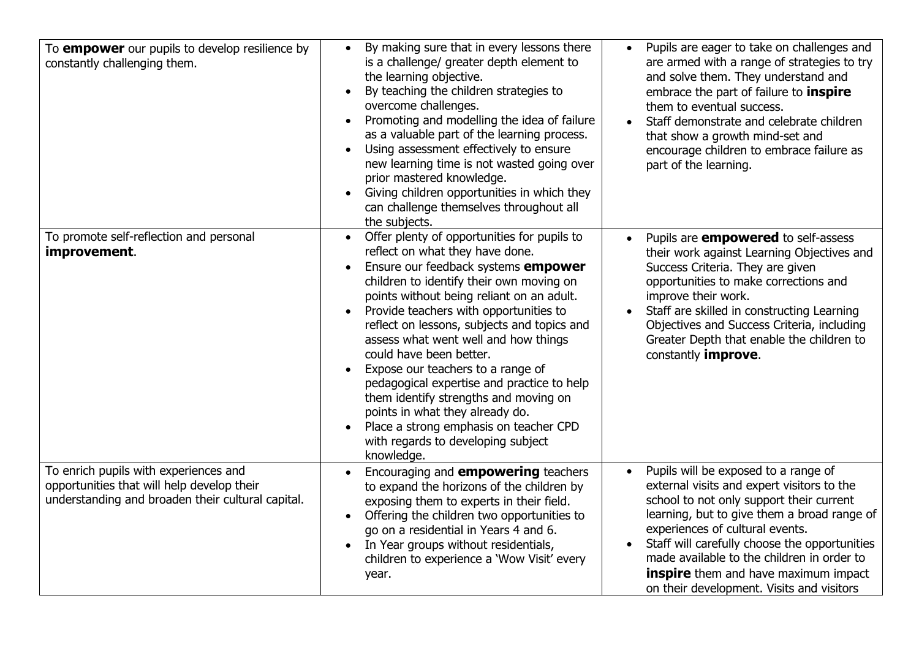| To <b>empower</b> our pupils to develop resilience by<br>constantly challenging them.                                                    | By making sure that in every lessons there<br>$\bullet$<br>is a challenge/ greater depth element to<br>the learning objective.<br>By teaching the children strategies to<br>overcome challenges.<br>Promoting and modelling the idea of failure<br>as a valuable part of the learning process.<br>Using assessment effectively to ensure<br>new learning time is not wasted going over<br>prior mastered knowledge.<br>Giving children opportunities in which they<br>can challenge themselves throughout all<br>the subjects.                                                                                                                       | Pupils are eager to take on challenges and<br>$\bullet$<br>are armed with a range of strategies to try<br>and solve them. They understand and<br>embrace the part of failure to <b>inspire</b><br>them to eventual success.<br>Staff demonstrate and celebrate children<br>that show a growth mind-set and<br>encourage children to embrace failure as<br>part of the learning.                                          |
|------------------------------------------------------------------------------------------------------------------------------------------|------------------------------------------------------------------------------------------------------------------------------------------------------------------------------------------------------------------------------------------------------------------------------------------------------------------------------------------------------------------------------------------------------------------------------------------------------------------------------------------------------------------------------------------------------------------------------------------------------------------------------------------------------|--------------------------------------------------------------------------------------------------------------------------------------------------------------------------------------------------------------------------------------------------------------------------------------------------------------------------------------------------------------------------------------------------------------------------|
| To promote self-reflection and personal<br>improvement.                                                                                  | Offer plenty of opportunities for pupils to<br>reflect on what they have done.<br>Ensure our feedback systems empower<br>children to identify their own moving on<br>points without being reliant on an adult.<br>Provide teachers with opportunities to<br>reflect on lessons, subjects and topics and<br>assess what went well and how things<br>could have been better.<br>Expose our teachers to a range of<br>pedagogical expertise and practice to help<br>them identify strengths and moving on<br>points in what they already do.<br>Place a strong emphasis on teacher CPD<br>$\bullet$<br>with regards to developing subject<br>knowledge. | Pupils are <b>empowered</b> to self-assess<br>their work against Learning Objectives and<br>Success Criteria. They are given<br>opportunities to make corrections and<br>improve their work.<br>Staff are skilled in constructing Learning<br>Objectives and Success Criteria, including<br>Greater Depth that enable the children to<br>constantly <i>improve</i> .                                                     |
| To enrich pupils with experiences and<br>opportunities that will help develop their<br>understanding and broaden their cultural capital. | Encouraging and <b>empowering</b> teachers<br>to expand the horizons of the children by<br>exposing them to experts in their field.<br>Offering the children two opportunities to<br>go on a residential in Years 4 and 6.<br>In Year groups without residentials,<br>$\bullet$<br>children to experience a 'Wow Visit' every<br>year.                                                                                                                                                                                                                                                                                                               | Pupils will be exposed to a range of<br>$\bullet$<br>external visits and expert visitors to the<br>school to not only support their current<br>learning, but to give them a broad range of<br>experiences of cultural events.<br>Staff will carefully choose the opportunities<br>made available to the children in order to<br><b>inspire</b> them and have maximum impact<br>on their development. Visits and visitors |